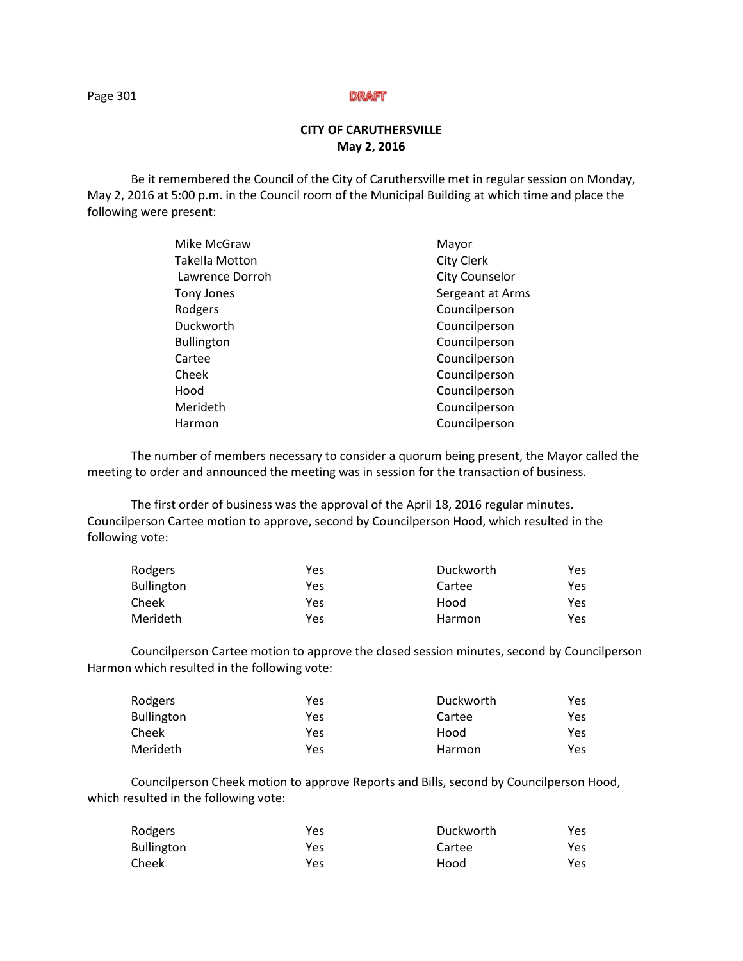# **CITY OF CARUTHERSVILLE May 2, 2016**

Be it remembered the Council of the City of Caruthersville met in regular session on Monday, May 2, 2016 at 5:00 p.m. in the Council room of the Municipal Building at which time and place the following were present:

| Mayor                 |
|-----------------------|
| <b>City Clerk</b>     |
| <b>City Counselor</b> |
| Sergeant at Arms      |
| Councilperson         |
| Councilperson         |
| Councilperson         |
| Councilperson         |
| Councilperson         |
| Councilperson         |
| Councilperson         |
| Councilperson         |
|                       |

The number of members necessary to consider a quorum being present, the Mayor called the meeting to order and announced the meeting was in session for the transaction of business.

The first order of business was the approval of the April 18, 2016 regular minutes. Councilperson Cartee motion to approve, second by Councilperson Hood, which resulted in the following vote:

| Rodgers           | Yes | Duckworth | Yes. |
|-------------------|-----|-----------|------|
| <b>Bullington</b> | Yes | Cartee    | Yes  |
| Cheek             | Yes | Hood      | Yes  |
| Merideth          | Yes | Harmon    | Yes  |

 Councilperson Cartee motion to approve the closed session minutes, second by Councilperson Harmon which resulted in the following vote:

| Rodgers    | Yes | Duckworth | Yes |
|------------|-----|-----------|-----|
| Bullington | Yes | Cartee    | Yes |
| Cheek      | Yes | Hood      | Yes |
| Merideth   | Yes | Harmon    | Yes |

Councilperson Cheek motion to approve Reports and Bills, second by Councilperson Hood, which resulted in the following vote:

| Rodgers    | Yes | Duckworth | Yes |
|------------|-----|-----------|-----|
| Bullington | Yes | Cartee    | Yes |
| Cheek      | Yes | Hood      | Yes |

Page 301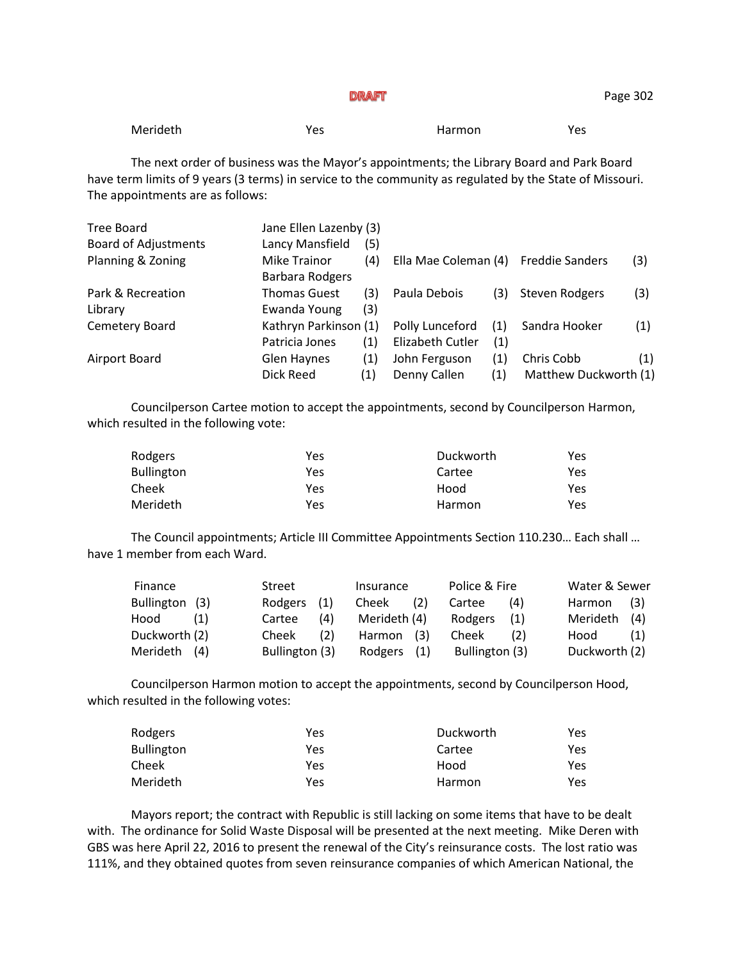The next order of business was the Mayor's appointments; the Library Board and Park Board have term limits of 9 years (3 terms) in service to the community as regulated by the State of Missouri. The appointments are as follows:

| Tree Board                  | Jane Ellen Lazenby (3)          |     |                         |     |                        |     |
|-----------------------------|---------------------------------|-----|-------------------------|-----|------------------------|-----|
| <b>Board of Adjustments</b> | Lancy Mansfield                 | (5) |                         |     |                        |     |
| Planning & Zoning           | Mike Trainor<br>Barbara Rodgers | (4) | Ella Mae Coleman (4)    |     | <b>Freddie Sanders</b> | (3) |
| Park & Recreation           | <b>Thomas Guest</b>             | (3) | Paula Debois            | (3) | Steven Rodgers         | (3) |
| Library                     | Ewanda Young                    | (3) |                         |     |                        |     |
| Cemetery Board              | Kathryn Parkinson (1)           |     | Polly Lunceford         | (1) | Sandra Hooker          | (1) |
|                             | Patricia Jones                  | (1) | <b>Elizabeth Cutler</b> | (1) |                        |     |
| Airport Board               | Glen Haynes                     | (1) | John Ferguson           | (1) | Chris Cobb             | (1) |
|                             | Dick Reed                       | (1) | Denny Callen            | (1) | Matthew Duckworth (1)  |     |

Councilperson Cartee motion to accept the appointments, second by Councilperson Harmon, which resulted in the following vote:

| Rodgers           | Yes | Duckworth | Yes. |
|-------------------|-----|-----------|------|
| <b>Bullington</b> | Yes | Cartee    | Yes. |
| Cheek             | Yes | Hood      | Yes  |
| Merideth          | Yes | Harmon    | Yes  |

The Council appointments; Article III Committee Appointments Section 110.230… Each shall … have 1 member from each Ward.

| Finance        | Street         | Insurance    | Police & Fire  | Water & Sewer |
|----------------|----------------|--------------|----------------|---------------|
| Bullington (3) | Rodgers<br>(1) | Cheek<br>(2) | Cartee<br>(4)  | Harmon<br>(3) |
| Hood<br>(1)    | (4)<br>Cartee  | Merideth (4) | Rodgers<br>(1) | Merideth (4)  |
| Duckworth (2)  | (2)<br>Cheek   | Harmon (3)   | Cheek<br>(2)   | Hood<br>(1)   |
| Merideth (4)   | Bullington (3) | Rodgers (1)  | Bullington (3) | Duckworth (2) |

Councilperson Harmon motion to accept the appointments, second by Councilperson Hood, which resulted in the following votes:

| Rodgers           | Yes | Duckworth | Yes |
|-------------------|-----|-----------|-----|
| <b>Bullington</b> | Yes | Cartee    | Yes |
| Cheek             | Yes | Hood      | Yes |
| Merideth          | Yes | Harmon    | Yes |

Mayors report; the contract with Republic is still lacking on some items that have to be dealt with. The ordinance for Solid Waste Disposal will be presented at the next meeting. Mike Deren with GBS was here April 22, 2016 to present the renewal of the City's reinsurance costs. The lost ratio was 111%, and they obtained quotes from seven reinsurance companies of which American National, the

Page 302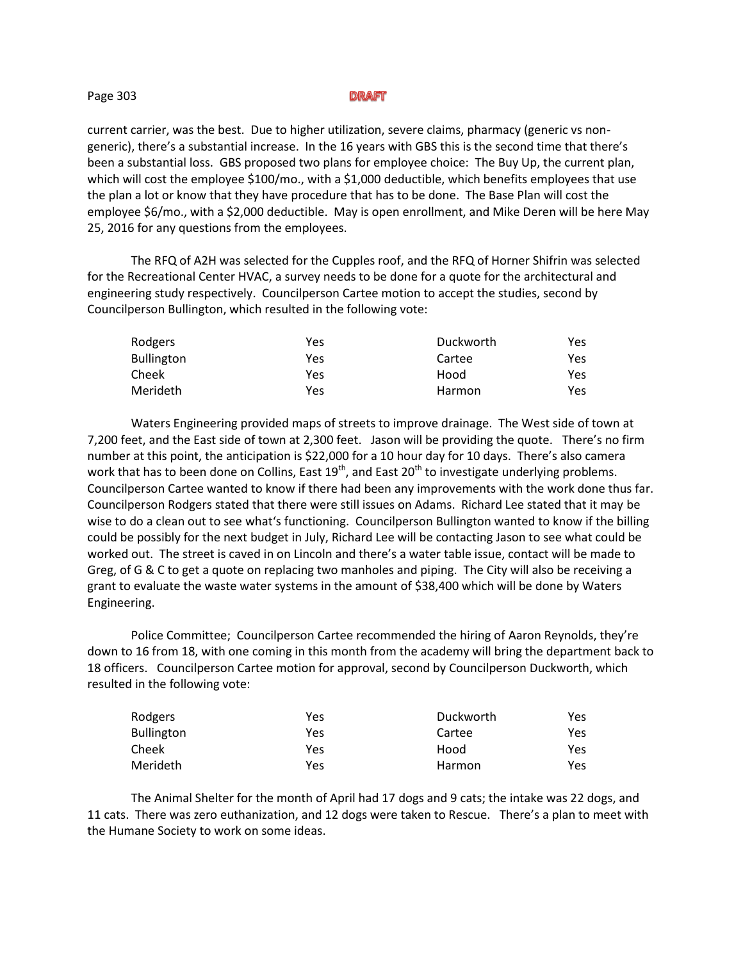#### Page 303

current carrier, was the best. Due to higher utilization, severe claims, pharmacy (generic vs nongeneric), there's a substantial increase. In the 16 years with GBS this is the second time that there's been a substantial loss. GBS proposed two plans for employee choice: The Buy Up, the current plan, which will cost the employee \$100/mo., with a \$1,000 deductible, which benefits employees that use the plan a lot or know that they have procedure that has to be done. The Base Plan will cost the employee \$6/mo., with a \$2,000 deductible. May is open enrollment, and Mike Deren will be here May 25, 2016 for any questions from the employees.

The RFQ of A2H was selected for the Cupples roof, and the RFQ of Horner Shifrin was selected for the Recreational Center HVAC, a survey needs to be done for a quote for the architectural and engineering study respectively. Councilperson Cartee motion to accept the studies, second by Councilperson Bullington, which resulted in the following vote:

| Rodgers    | Yes | Duckworth | Yes |
|------------|-----|-----------|-----|
| Bullington | Yes | Cartee    | Yes |
| Cheek      | Yes | Hood      | Yes |
| Merideth   | Yes | Harmon    | Yes |

Waters Engineering provided maps of streets to improve drainage. The West side of town at 7,200 feet, and the East side of town at 2,300 feet. Jason will be providing the quote. There's no firm number at this point, the anticipation is \$22,000 for a 10 hour day for 10 days. There's also camera work that has to been done on Collins, East  $19<sup>th</sup>$ , and East  $20<sup>th</sup>$  to investigate underlying problems. Councilperson Cartee wanted to know if there had been any improvements with the work done thus far. Councilperson Rodgers stated that there were still issues on Adams. Richard Lee stated that it may be wise to do a clean out to see what's functioning. Councilperson Bullington wanted to know if the billing could be possibly for the next budget in July, Richard Lee will be contacting Jason to see what could be worked out. The street is caved in on Lincoln and there's a water table issue, contact will be made to Greg, of G & C to get a quote on replacing two manholes and piping. The City will also be receiving a grant to evaluate the waste water systems in the amount of \$38,400 which will be done by Waters Engineering.

Police Committee; Councilperson Cartee recommended the hiring of Aaron Reynolds, they're down to 16 from 18, with one coming in this month from the academy will bring the department back to 18 officers. Councilperson Cartee motion for approval, second by Councilperson Duckworth, which resulted in the following vote:

| Rodgers           | Yes | Duckworth | Yes |
|-------------------|-----|-----------|-----|
| <b>Bullington</b> | Yes | Cartee    | Yes |
| Cheek             | Yes | Hood      | Yes |
| Merideth          | Yes | Harmon    | Yes |

The Animal Shelter for the month of April had 17 dogs and 9 cats; the intake was 22 dogs, and 11 cats. There was zero euthanization, and 12 dogs were taken to Rescue. There's a plan to meet with the Humane Society to work on some ideas.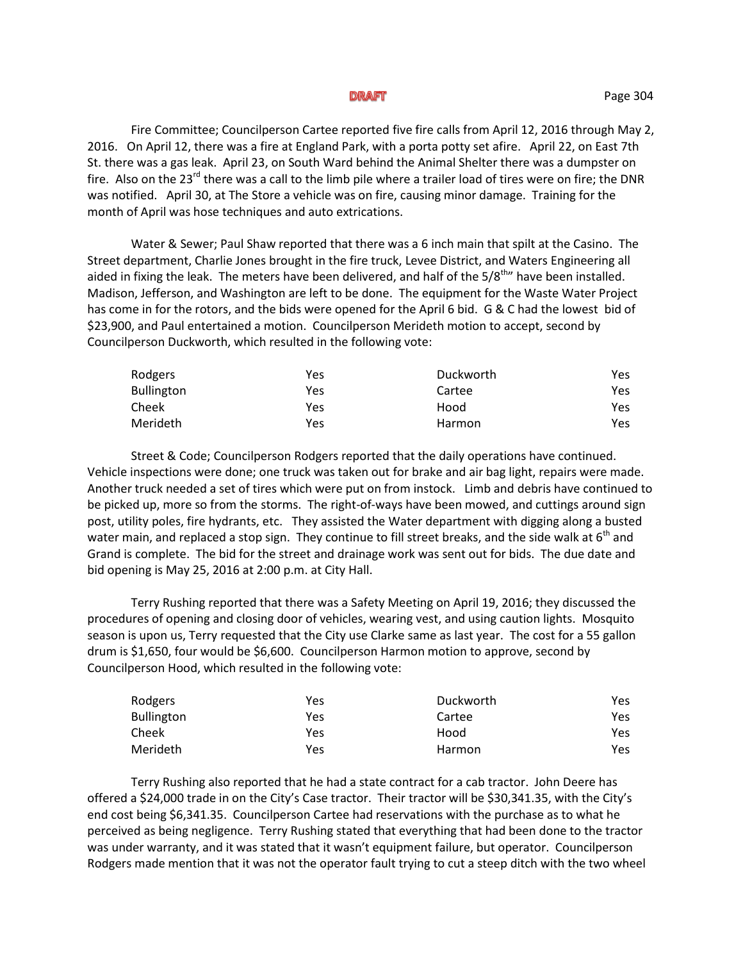Fire Committee; Councilperson Cartee reported five fire calls from April 12, 2016 through May 2, 2016. On April 12, there was a fire at England Park, with a porta potty set afire. April 22, on East 7th St. there was a gas leak. April 23, on South Ward behind the Animal Shelter there was a dumpster on fire. Also on the  $23^{rd}$  there was a call to the limb pile where a trailer load of tires were on fire; the DNR was notified. April 30, at The Store a vehicle was on fire, causing minor damage. Training for the month of April was hose techniques and auto extrications.

Water & Sewer; Paul Shaw reported that there was a 6 inch main that spilt at the Casino. The Street department, Charlie Jones brought in the fire truck, Levee District, and Waters Engineering all aided in fixing the leak. The meters have been delivered, and half of the  $5/8^{th}$  have been installed. Madison, Jefferson, and Washington are left to be done. The equipment for the Waste Water Project has come in for the rotors, and the bids were opened for the April 6 bid. G & C had the lowest bid of \$23,900, and Paul entertained a motion. Councilperson Merideth motion to accept, second by Councilperson Duckworth, which resulted in the following vote:

| Rodgers           | Yes | Duckworth | Yes. |
|-------------------|-----|-----------|------|
| <b>Bullington</b> | Yes | Cartee    | Yes. |
| Cheek             | Yes | Hood      | Yes. |
| Merideth          | Yes | Harmon    | Yes. |

Street & Code; Councilperson Rodgers reported that the daily operations have continued. Vehicle inspections were done; one truck was taken out for brake and air bag light, repairs were made. Another truck needed a set of tires which were put on from instock. Limb and debris have continued to be picked up, more so from the storms. The right-of-ways have been mowed, and cuttings around sign post, utility poles, fire hydrants, etc. They assisted the Water department with digging along a busted water main, and replaced a stop sign. They continue to fill street breaks, and the side walk at 6<sup>th</sup> and Grand is complete. The bid for the street and drainage work was sent out for bids. The due date and bid opening is May 25, 2016 at 2:00 p.m. at City Hall.

Terry Rushing reported that there was a Safety Meeting on April 19, 2016; they discussed the procedures of opening and closing door of vehicles, wearing vest, and using caution lights. Mosquito season is upon us, Terry requested that the City use Clarke same as last year. The cost for a 55 gallon drum is \$1,650, four would be \$6,600. Councilperson Harmon motion to approve, second by Councilperson Hood, which resulted in the following vote:

| Rodgers           | Yes | Duckworth | Yes. |
|-------------------|-----|-----------|------|
| <b>Bullington</b> | Yes | Cartee    | Yes. |
| Cheek             | Yes | Hood      | Yes. |
| Merideth          | Yes | Harmon    | Yes. |

Terry Rushing also reported that he had a state contract for a cab tractor. John Deere has offered a \$24,000 trade in on the City's Case tractor. Their tractor will be \$30,341.35, with the City's end cost being \$6,341.35. Councilperson Cartee had reservations with the purchase as to what he perceived as being negligence. Terry Rushing stated that everything that had been done to the tractor was under warranty, and it was stated that it wasn't equipment failure, but operator. Councilperson Rodgers made mention that it was not the operator fault trying to cut a steep ditch with the two wheel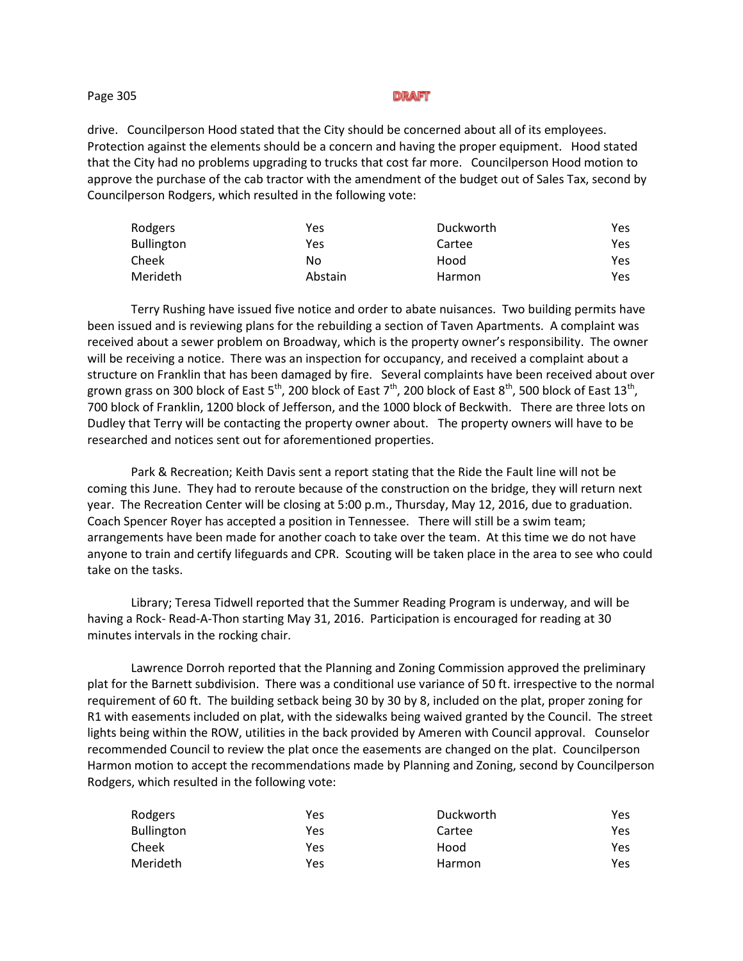### Page 305

#### DRAFT

drive. Councilperson Hood stated that the City should be concerned about all of its employees. Protection against the elements should be a concern and having the proper equipment. Hood stated that the City had no problems upgrading to trucks that cost far more. Councilperson Hood motion to approve the purchase of the cab tractor with the amendment of the budget out of Sales Tax, second by Councilperson Rodgers, which resulted in the following vote:

| Rodgers    | Yes     | Duckworth | Yes |
|------------|---------|-----------|-----|
| Bullington | Yes     | Cartee    | Yes |
| Cheek      | No      | Hood      | Yes |
| Merideth   | Abstain | Harmon    | Yes |

Terry Rushing have issued five notice and order to abate nuisances. Two building permits have been issued and is reviewing plans for the rebuilding a section of Taven Apartments. A complaint was received about a sewer problem on Broadway, which is the property owner's responsibility. The owner will be receiving a notice. There was an inspection for occupancy, and received a complaint about a structure on Franklin that has been damaged by fire. Several complaints have been received about over grown grass on 300 block of East 5 $^{\rm th}$ , 200 block of East 7 $^{\rm th}$ , 200 block of East 8 $^{\rm th}$ , 500 block of East 13 $^{\rm th}$ , 700 block of Franklin, 1200 block of Jefferson, and the 1000 block of Beckwith. There are three lots on Dudley that Terry will be contacting the property owner about. The property owners will have to be researched and notices sent out for aforementioned properties.

Park & Recreation; Keith Davis sent a report stating that the Ride the Fault line will not be coming this June. They had to reroute because of the construction on the bridge, they will return next year. The Recreation Center will be closing at 5:00 p.m., Thursday, May 12, 2016, due to graduation. Coach Spencer Royer has accepted a position in Tennessee. There will still be a swim team; arrangements have been made for another coach to take over the team. At this time we do not have anyone to train and certify lifeguards and CPR. Scouting will be taken place in the area to see who could take on the tasks.

Library; Teresa Tidwell reported that the Summer Reading Program is underway, and will be having a Rock- Read-A-Thon starting May 31, 2016. Participation is encouraged for reading at 30 minutes intervals in the rocking chair.

Lawrence Dorroh reported that the Planning and Zoning Commission approved the preliminary plat for the Barnett subdivision. There was a conditional use variance of 50 ft. irrespective to the normal requirement of 60 ft. The building setback being 30 by 30 by 8, included on the plat, proper zoning for R1 with easements included on plat, with the sidewalks being waived granted by the Council. The street lights being within the ROW, utilities in the back provided by Ameren with Council approval. Counselor recommended Council to review the plat once the easements are changed on the plat. Councilperson Harmon motion to accept the recommendations made by Planning and Zoning, second by Councilperson Rodgers, which resulted in the following vote:

| Rodgers           | Yes | Duckworth | Yes |
|-------------------|-----|-----------|-----|
| <b>Bullington</b> | Yes | Cartee    | Yes |
| Cheek             | Yes | Hood      | Yes |
| Merideth          | Yes | Harmon    | Yes |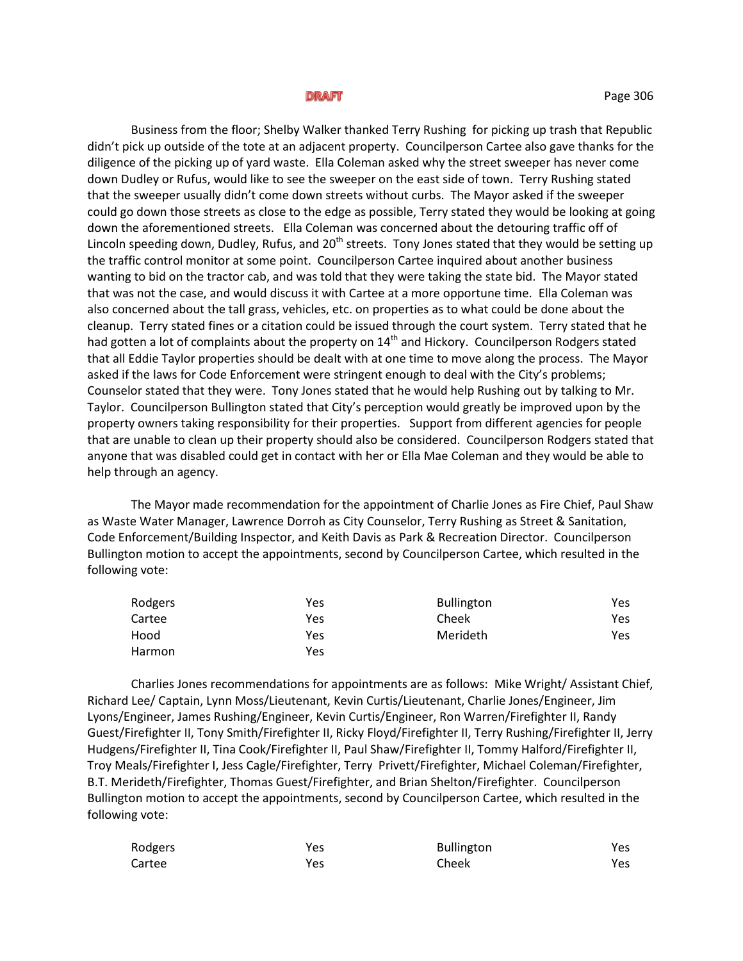Business from the floor; Shelby Walker thanked Terry Rushing for picking up trash that Republic didn't pick up outside of the tote at an adjacent property. Councilperson Cartee also gave thanks for the diligence of the picking up of yard waste. Ella Coleman asked why the street sweeper has never come down Dudley or Rufus, would like to see the sweeper on the east side of town. Terry Rushing stated that the sweeper usually didn't come down streets without curbs. The Mayor asked if the sweeper could go down those streets as close to the edge as possible, Terry stated they would be looking at going down the aforementioned streets. Ella Coleman was concerned about the detouring traffic off of Lincoln speeding down, Dudley, Rufus, and  $20<sup>th</sup>$  streets. Tony Jones stated that they would be setting up the traffic control monitor at some point. Councilperson Cartee inquired about another business wanting to bid on the tractor cab, and was told that they were taking the state bid. The Mayor stated that was not the case, and would discuss it with Cartee at a more opportune time. Ella Coleman was also concerned about the tall grass, vehicles, etc. on properties as to what could be done about the cleanup. Terry stated fines or a citation could be issued through the court system. Terry stated that he had gotten a lot of complaints about the property on 14<sup>th</sup> and Hickory. Councilperson Rodgers stated that all Eddie Taylor properties should be dealt with at one time to move along the process. The Mayor asked if the laws for Code Enforcement were stringent enough to deal with the City's problems; Counselor stated that they were. Tony Jones stated that he would help Rushing out by talking to Mr. Taylor. Councilperson Bullington stated that City's perception would greatly be improved upon by the property owners taking responsibility for their properties. Support from different agencies for people that are unable to clean up their property should also be considered. Councilperson Rodgers stated that anyone that was disabled could get in contact with her or Ella Mae Coleman and they would be able to help through an agency.

The Mayor made recommendation for the appointment of Charlie Jones as Fire Chief, Paul Shaw as Waste Water Manager, Lawrence Dorroh as City Counselor, Terry Rushing as Street & Sanitation, Code Enforcement/Building Inspector, and Keith Davis as Park & Recreation Director. Councilperson Bullington motion to accept the appointments, second by Councilperson Cartee, which resulted in the following vote:

| Rodgers | Yes | <b>Bullington</b> | Yes |
|---------|-----|-------------------|-----|
| Cartee  | Yes | Cheek             | Yes |
| Hood    | Yes | Merideth          | Yes |
| Harmon  | Yes |                   |     |

Charlies Jones recommendations for appointments are as follows: Mike Wright/ Assistant Chief, Richard Lee/ Captain, Lynn Moss/Lieutenant, Kevin Curtis/Lieutenant, Charlie Jones/Engineer, Jim Lyons/Engineer, James Rushing/Engineer, Kevin Curtis/Engineer, Ron Warren/Firefighter II, Randy Guest/Firefighter II, Tony Smith/Firefighter II, Ricky Floyd/Firefighter II, Terry Rushing/Firefighter II, Jerry Hudgens/Firefighter II, Tina Cook/Firefighter II, Paul Shaw/Firefighter II, Tommy Halford/Firefighter II, Troy Meals/Firefighter I, Jess Cagle/Firefighter, Terry Privett/Firefighter, Michael Coleman/Firefighter, B.T. Merideth/Firefighter, Thomas Guest/Firefighter, and Brian Shelton/Firefighter. Councilperson Bullington motion to accept the appointments, second by Councilperson Cartee, which resulted in the following vote:

| Rodgers | Yes | <b>Bullington</b> | Yes |
|---------|-----|-------------------|-----|
| Cartee  | Yes | Cheek             | Yes |